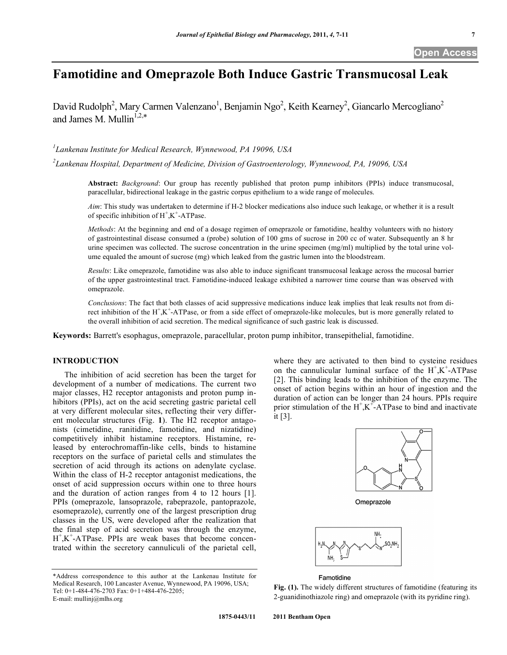# **Famotidine and Omeprazole Both Induce Gastric Transmucosal Leak**

David Rudolph<sup>2</sup>, Mary Carmen Valenzano<sup>1</sup>, Benjamin Ngo<sup>2</sup>, Keith Kearney<sup>2</sup>, Giancarlo Mercogliano<sup>2</sup> and James M. Mullin<sup>1,2,\*</sup>

*1 Lankenau Institute for Medical Research, Wynnewood, PA 19096, USA* 

*2 Lankenau Hospital, Department of Medicine, Division of Gastroenterology, Wynnewood, PA, 19096, USA* 

**Abstract:** *Background*: Our group has recently published that proton pump inhibitors (PPIs) induce transmucosal, paracellular, bidirectional leakage in the gastric corpus epithelium to a wide range of molecules.

*Aim*: This study was undertaken to determine if H-2 blocker medications also induce such leakage, or whether it is a result of specific inhibition of  $H^+$ ,  $K^+$ -ATPase.

*Methods*: At the beginning and end of a dosage regimen of omeprazole or famotidine, healthy volunteers with no history of gastrointestinal disease consumed a (probe) solution of 100 gms of sucrose in 200 cc of water. Subsequently an 8 hr urine specimen was collected. The sucrose concentration in the urine specimen (mg/ml) multiplied by the total urine volume equaled the amount of sucrose (mg) which leaked from the gastric lumen into the bloodstream.

*Results*: Like omeprazole, famotidine was also able to induce significant transmucosal leakage across the mucosal barrier of the upper gastrointestinal tract. Famotidine-induced leakage exhibited a narrower time course than was observed with omeprazole.

*Conclusions*: The fact that both classes of acid suppressive medications induce leak implies that leak results not from direct inhibition of the H<sup>+</sup>,K<sup>+</sup>-ATPase, or from a side effect of omeprazole-like molecules, but is more generally related to the overall inhibition of acid secretion. The medical significance of such gastric leak is discussed.

**Keywords:** Barrett's esophagus, omeprazole, paracellular, proton pump inhibitor, transepithelial, famotidine.

# **INTRODUCTION**

 The inhibition of acid secretion has been the target for development of a number of medications. The current two major classes, H2 receptor antagonists and proton pump inhibitors (PPIs), act on the acid secreting gastric parietal cell at very different molecular sites, reflecting their very different molecular structures (Fig. **1**). The H2 receptor antagonists (cimetidine, ranitidine, famotidine, and nizatidine) competitively inhibit histamine receptors. Histamine, released by enterochromaffin-like cells, binds to histamine receptors on the surface of parietal cells and stimulates the secretion of acid through its actions on adenylate cyclase. Within the class of H-2 receptor antagonist medications, the onset of acid suppression occurs within one to three hours and the duration of action ranges from 4 to 12 hours [1]. PPIs (omeprazole, lansoprazole, rabeprazole, pantoprazole, esomeprazole), currently one of the largest prescription drug classes in the US, were developed after the realization that the final step of acid secretion was through the enzyme, H<sup>+</sup>,K<sup>+</sup>-ATPase. PPIs are weak bases that become concentrated within the secretory cannuliculi of the parietal cell,

where they are activated to then bind to cysteine residues on the cannulicular luminal surface of the  $H^+$ , $K^+$ -ATPase [2]. This binding leads to the inhibition of the enzyme. The onset of action begins within an hour of ingestion and the duration of action can be longer than 24 hours. PPIs require prior stimulation of the  $H^+$ ,  $K^+$ -ATPase to bind and inactivate it [3].



Omeprazole



#### Famotidine

Fig. (1). The widely different structures of famotidine (featuring its 2-guanidinothiazole ring) and omeprazole (with its pyridine ring).

<sup>\*</sup>Address correspondence to this author at the Lankenau Institute for Medical Research, 100 Lancaster Avenue, Wynnewood, PA 19096, USA; Tel: 0+1-484-476-2703 Fax: 0+1+484-476-2205; E-mail: mullinj@mlhs.org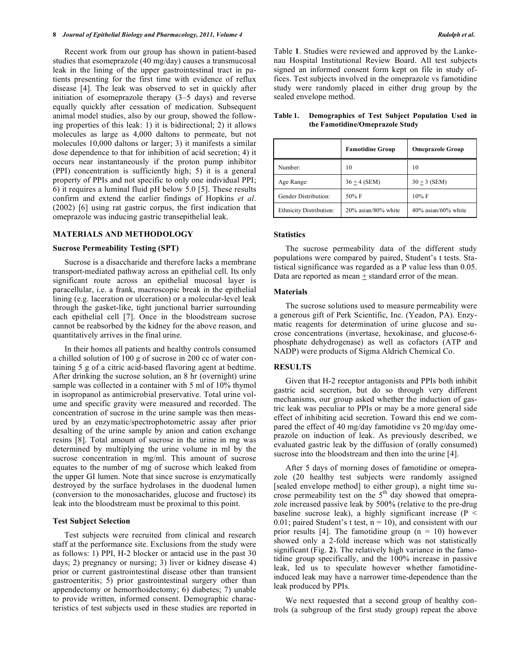#### **8** *Journal of Epithelial Biology and Pharmacology, 2011, Volume 4* **Rudolph et al.** *Rudolph et al.**Rudolph et al.* **<b>Rudolph et al.** *Rudolph et al.*

 Recent work from our group has shown in patient-based studies that esomeprazole (40 mg/day) causes a transmucosal leak in the lining of the upper gastrointestinal tract in patients presenting for the first time with evidence of reflux disease [4]. The leak was observed to set in quickly after initiation of esomeprazole therapy (3–5 days) and reverse equally quickly after cessation of medication. Subsequent animal model studies, also by our group, showed the following properties of this leak: 1) it is bidirectional; 2) it allows molecules as large as 4,000 daltons to permeate, but not molecules 10,000 daltons or larger; 3) it manifests a similar dose dependence to that for inhibition of acid secretion; 4) it occurs near instantaneously if the proton pump inhibitor (PPI) concentration is sufficiently high; 5) it is a general property of PPIs and not specific to only one individual PPI; 6) it requires a luminal fluid pH below 5.0 [5]. These results confirm and extend the earlier findings of Hopkins *et al*. (2002) [6] using rat gastric corpus, the first indication that omeprazole was inducing gastric transepithelial leak.

#### **MATERIALS AND METHODOLOGY**

#### **Sucrose Permeability Testing (SPT)**

 Sucrose is a disaccharide and therefore lacks a membrane transport-mediated pathway across an epithelial cell. Its only significant route across an epithelial mucosal layer is paracellular, i.e. a frank, macroscopic break in the epithelial lining (e.g. laceration or ulceration) or a molecular-level leak through the gasket-like, tight junctional barrier surrounding each epithelial cell [7]. Once in the bloodstream sucrose cannot be reabsorbed by the kidney for the above reason, and quantitatively arrives in the final urine.

 In their homes all patients and healthy controls consumed a chilled solution of 100 g of sucrose in 200 cc of water containing 5 g of a citric acid-based flavoring agent at bedtime. After drinking the sucrose solution, an 8 hr (overnight) urine sample was collected in a container with 5 ml of 10% thymol in isopropanol as antimicrobial preservative. Total urine volume and specific gravity were measured and recorded. The concentration of sucrose in the urine sample was then measured by an enzymatic/spectrophotometric assay after prior desalting of the urine sample by anion and cation exchange resins [8]. Total amount of sucrose in the urine in mg was determined by multiplying the urine volume in ml by the sucrose concentration in mg/ml. This amount of sucrose equates to the number of mg of sucrose which leaked from the upper GI lumen. Note that since sucrose is enzymatically destroyed by the surface hydrolases in the duodenal lumen (conversion to the monosacharides, glucose and fructose) its leak into the bloodstream must be proximal to this point.

#### **Test Subject Selection**

 Test subjects were recruited from clinical and research staff at the performance site. Exclusions from the study were as follows: 1) PPI, H-2 blocker or antacid use in the past 30 days; 2) pregnancy or nursing; 3) liver or kidney disease 4) prior or current gastrointestinal disease other than transient gastroenteritis; 5) prior gastrointestinal surgery other than appendectomy or hemorrhoidectomy; 6) diabetes; 7) unable to provide written, informed consent. Demographic characteristics of test subjects used in these studies are reported in Table **1**. Studies were reviewed and approved by the Lankenau Hospital Institutional Review Board. All test subjects signed an informed consent form kept on file in study offices. Test subjects involved in the omeprazole vs famotidine study were randomly placed in either drug group by the sealed envelope method.

|                                | <b>Famotidine Group</b> | <b>Omeprazole Group</b> |
|--------------------------------|-------------------------|-------------------------|
| Number:                        | 10                      | 10                      |
| Age Range:                     | $36 + 4$ (SEM)          | $30 + 3$ (SEM)          |
| Gender Distribution:           | $50\% \text{ F}$        | $10\%$ F                |
| <b>Ethnicity Distribution:</b> | 20% asian/80% white     | $40\%$ asian/60% white  |

#### **Table 1. Demographics of Test Subject Population Used in the Famotidine/Omeprazole Study**

#### **Statistics**

 The sucrose permeability data of the different study populations were compared by paired, Student's t tests. Statistical significance was regarded as a P value less than 0.05. Data are reported as mean  $+$  standard error of the mean.

#### **Materials**

 The sucrose solutions used to measure permeability were a generous gift of Perk Scientific, Inc. (Yeadon, PA). Enzymatic reagents for determination of urine glucose and sucrose concentrations (invertase, hexokinase, and glucose-6 phosphate dehydrogenase) as well as cofactors (ATP and NADP) were products of Sigma Aldrich Chemical Co.

# **RESULTS**

 Given that H-2 receptor antagonists and PPIs both inhibit gastric acid secretion, but do so through very different mechanisms, our group asked whether the induction of gastric leak was peculiar to PPIs or may be a more general side effect of inhibiting acid secretion. Toward this end we compared the effect of 40 mg/day famotidine vs 20 mg/day omeprazole on induction of leak. As previously described, we evaluated gastric leak by the diffusion of (orally consumed) sucrose into the bloodstream and then into the urine [4].

 After 5 days of morning doses of famotidine or omeprazole (20 healthy test subjects were randomly assigned [sealed envelope method] to either group), a night time sucrose permeability test on the  $5<sup>th</sup>$  day showed that omeprazole increased passive leak by 500% (relative to the pre-drug baseline sucrose leak), a highly significant increase (P < 0.01; paired Student's t test,  $n = 10$ ), and consistent with our prior results [4]. The famotidine group  $(n = 10)$  however showed only a 2-fold increase which was not statistically significant (Fig. **2**). The relatively high variance in the famotidine group specifically, and the 100% increase in passive leak, led us to speculate however whether famotidineinduced leak may have a narrower time-dependence than the leak produced by PPIs.

 We next requested that a second group of healthy controls (a subgroup of the first study group) repeat the above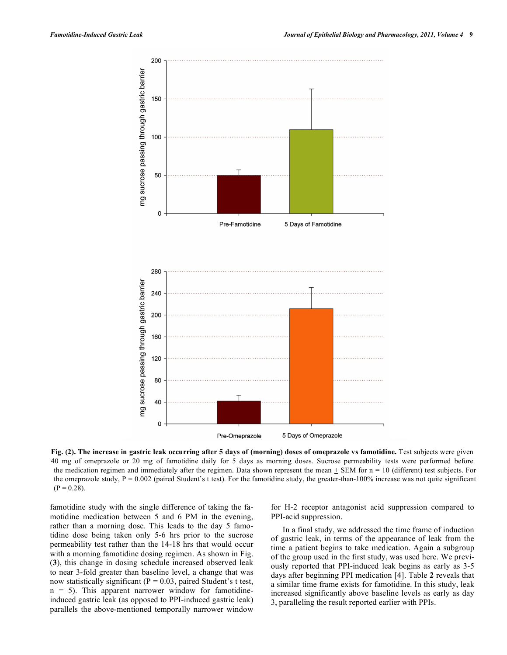

**Fig. (2). The increase in gastric leak occurring after 5 days of (morning) doses of omeprazole vs famotidine.** Test subjects were given 40 mg of omeprazole or 20 mg of famotidine daily for 5 days as morning doses. Sucrose permeability tests were performed before the medication regimen and immediately after the regimen. Data shown represent the mean  $+$  SEM for  $n = 10$  (different) test subjects. For the omeprazole study,  $P = 0.002$  (paired Student's t test). For the famotidine study, the greater-than-100% increase was not quite significant  $(P = 0.28)$ .

famotidine study with the single difference of taking the famotidine medication between 5 and 6 PM in the evening, rather than a morning dose. This leads to the day 5 famotidine dose being taken only 5-6 hrs prior to the sucrose permeability test rather than the 14-18 hrs that would occur with a morning famotidine dosing regimen. As shown in Fig. (**3**), this change in dosing schedule increased observed leak to near 3-fold greater than baseline level, a change that was now statistically significant ( $P = 0.03$ , paired Student's t test,  $n = 5$ ). This apparent narrower window for famotidineinduced gastric leak (as opposed to PPI-induced gastric leak) parallels the above-mentioned temporally narrower window

for H-2 receptor antagonist acid suppression compared to PPI-acid suppression.

 In a final study, we addressed the time frame of induction of gastric leak, in terms of the appearance of leak from the time a patient begins to take medication. Again a subgroup of the group used in the first study, was used here. We previously reported that PPI-induced leak begins as early as 3-5 days after beginning PPI medication [4]. Table **2** reveals that a similar time frame exists for famotidine. In this study, leak increased significantly above baseline levels as early as day 3, paralleling the result reported earlier with PPIs.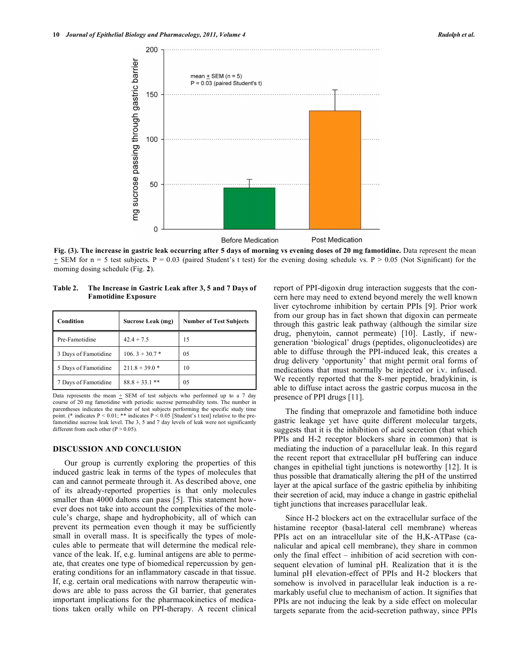

**Fig. (3). The increase in gastric leak occurring after 5 days of morning vs evening doses of 20 mg famotidine.** Data represent the mean  $\pm$  SEM for n = 5 test subjects. P = 0.03 (paired Student's t test) for the evening dosing schedule vs. P > 0.05 (Not Significant) for the morning dosing schedule (Fig. **2**).

**Table 2. The Increase in Gastric Leak after 3, 5 and 7 Days of Famotidine Exposure** 

| Condition            | Sucrose Leak (mg) | <b>Number of Test Subjects</b> |
|----------------------|-------------------|--------------------------------|
| Pre-Famotidine       | $42.4 + 7.5$      | 15                             |
| 3 Days of Famotidine | $106.3 + 30.7*$   | 05                             |
| 5 Days of Famotidine | $211.8 + 39.0*$   | 10                             |
| 7 Days of Famotidine | $88.8 + 33.1$ **  | 05                             |

Data represents the mean  $\pm$  SEM of test subjects who performed up to a 7 day course of 20 mg famotidine with periodic sucrose permeability tests. The number in parentheses indicates the number of test subjects performing the specific study time point. (\* indicates P < 0.01; \*\* indicates P < 0.05 [Student's t test] relative to the prefamotidine sucrose leak level. The 3, 5 and 7 day levels of leak were not significantly different from each other  $(P > 0.05)$ .

# **DISCUSSION AND CONCLUSION**

 Our group is currently exploring the properties of this induced gastric leak in terms of the types of molecules that can and cannot permeate through it. As described above, one of its already-reported properties is that only molecules smaller than 4000 daltons can pass [5]. This statement however does not take into account the complexities of the molecule's charge, shape and hydrophobicity, all of which can prevent its permeation even though it may be sufficiently small in overall mass. It is specifically the types of molecules able to permeate that will determine the medical relevance of the leak. If, e.g. luminal antigens are able to permeate, that creates one type of biomedical repercussion by generating conditions for an inflammatory cascade in that tissue. If, e.g. certain oral medications with narrow therapeutic windows are able to pass across the GI barrier, that generates important implications for the pharmacokinetics of medications taken orally while on PPI-therapy. A recent clinical report of PPI-digoxin drug interaction suggests that the concern here may need to extend beyond merely the well known liver cytochrome inhibition by certain PPIs [9]. Prior work from our group has in fact shown that digoxin can permeate through this gastric leak pathway (although the similar size drug, phenytoin, cannot permeate) [10]. Lastly, if newgeneration 'biological' drugs (peptides, oligonucleotides) are able to diffuse through the PPI-induced leak, this creates a drug delivery 'opportunity' that might permit oral forms of medications that must normally be injected or i.v. infused. We recently reported that the 8-mer peptide, bradykinin, is able to diffuse intact across the gastric corpus mucosa in the presence of PPI drugs [11].

 The finding that omeprazole and famotidine both induce gastric leakage yet have quite different molecular targets, suggests that it is the inhibition of acid secretion (that which PPIs and H-2 receptor blockers share in common) that is mediating the induction of a paracellular leak. In this regard the recent report that extracellular pH buffering can induce changes in epithelial tight junctions is noteworthy [12]. It is thus possible that dramatically altering the pH of the unstirred layer at the apical surface of the gastric epithelia by inhibiting their secretion of acid, may induce a change in gastric epithelial tight junctions that increases paracellular leak.

 Since H-2 blockers act on the extracellular surface of the histamine receptor (basal-lateral cell membrane) whereas PPIs act on an intracellular site of the H,K-ATPase (canalicular and apical cell membrane), they share in common only the final effect – inhibition of acid secretion with consequent elevation of luminal pH. Realization that it is the luminal pH elevation-effect of PPIs and H-2 blockers that somehow is involved in paracellular leak induction is a remarkably useful clue to mechanism of action. It signifies that PPIs are not inducing the leak by a side effect on molecular targets separate from the acid-secretion pathway, since PPIs